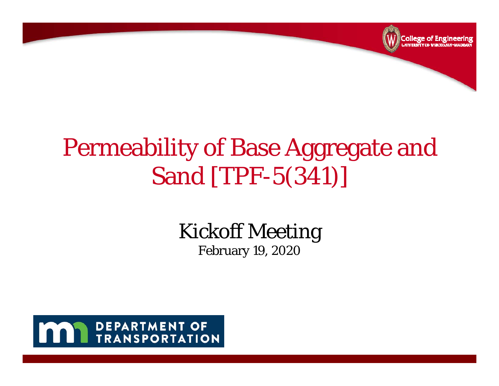

## Permeability of Base Aggregate and Sand [TPF-5(341)]

### Kickoff Meeting

February 19, 2020

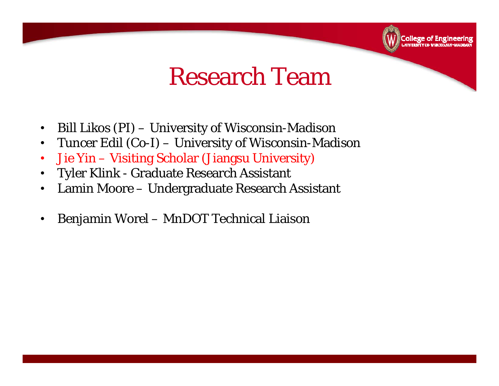### Research Team

College of Engineering

- •Bill Likos (PI) – University of Wisconsin-Madison
- •Tuncer Edil (Co-I) – University of Wisconsin-Madison
- •Jie Yin – Visiting Scholar (Jiangsu University)
- •Tyler Klink - Graduate Research Assistant
- $\bullet$ Lamin Moore – Undergraduate Research Assistant
- •Benjamin Worel – MnDOT Technical Liaison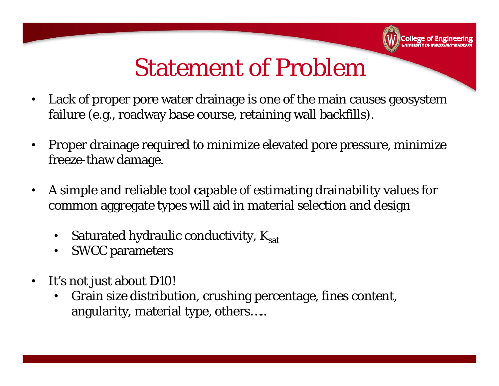### Statement of Problem

**College of Engineering**<br>College of Engineering

- Lack of proper pore water drainage is one of the main causes geosystem failure (e.g., roadway base course, retaining wall backfills).
- • Proper drainage required to minimize elevated pore pressure, minimize freeze-thaw damage.
- • A simple and reliable tool capable of estimating drainability values for common aggregate types will aid in material selection and design
	- $\bullet$ Saturated hydraulic conductivity,  $K_{sat}$
	- $\bullet$ SWCC parameters
- $\bullet$  It's not just about D10!
	- • Grain size distribution, crushing percentage, fines content, angularity, material type, others…..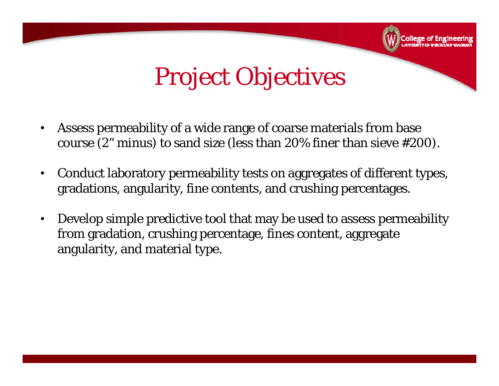# Project Objectives

College of Engineering

- $\bullet$  Assess permeability of a wide range of coarse materials from base course (2" minus) to sand size (less than 20% finer than sieve #200).
- $\bullet$  Conduct laboratory permeability tests on aggregates of different types, gradations, angularity, fine contents, and crushing percentages.
- • Develop simple predictive tool that may be used to assess permeability from gradation, crushing percentage, fines content, aggregate angularity, and material type.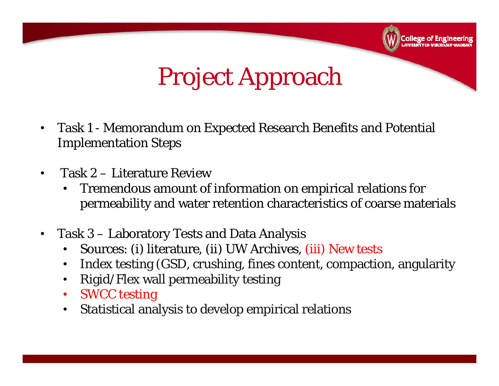# Project Approach

College of Engineering

- $\bullet$  Task 1 - Memorandum on Expected Research Benefits and Potential Implementation Steps
- $\bullet$  Task 2 – Literature Review
	- $\bullet$  Tremendous amount of information on empirical relations for permeability and water retention characteristics of coarse materials
- $\bullet$  Task 3 – Laboratory Tests and Data Analysis
	- $\bullet$ Sources: (i) literature, (ii) UW Archives, (iii) New tests
	- $\bullet$ Index testing (GSD, crushing, fines content, compaction, angularity
	- •Rigid/Flex wall permeability testing
	- $\bullet$ SWCC testing
	- •Statistical analysis to develop empirical relations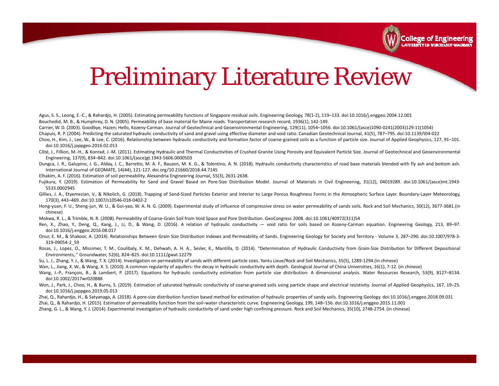

### Preliminary Literature Review

Agus, S. S., Leong, E.‐C., & Rahardjo, H. (2005). Estimating permeability functions of Singapore residual soils. Engineering Geology, 78(1‐2), 119–133. doi:10.1016/j.enggeo.2004.12.001 Bouchedid, M. B., & Humphrey, D. N. (2005). Permeability of base material for Maine roads. Transportation research record, 1936(1), 142‐149.

Carrier, W. D. (2003). Goodbye, Hazen; Hello, Kozeny‐Carman. Journal of Geotechnical and Geoenvironmental Engineering, 129(11), 1054–1056. doi:10.1061/(asce)1090‐0241(2003)129:11(1054)

Chapuis, R. P. (2004). Predicting the saturated hydraulic conductivity of sand and gravel using effective diameter and void ratio. Canadian Geotechnical Journal, 41(5), 787–795. doi:10.1139/t04‐022

Choo, H., Kim, J., Lee, W., & Lee, C. (2016). Relationship between hydraulic conductivity and formation factor of coarse‐grained soils as <sup>a</sup> function of particle size. Journal of Applied Geophysics, 127, 91–101. doi:10.1016/j.jappgeo.2016.02.013

- Côté, J., Fillion, M.-H., & Konrad, J.-M. (2011). Estimating Hydraulic and Thermal Conductivities of Crushed Granite Using Porosity and Equivalent Particle Size. Journal of Geotechnical and Geoenvironmental Engineering, 137(9), 834–842. doi:10.1061/(asce)gt.1943‐5606.0000503
- Dungca, J. R., Galupino, J. G., Alday, J. C., Barretto, M. A. F., Bauzon, M. K. G., & Tolentino, A. N. (2018). Hydraulic conductivity characteristics of road base materials blended with fly ash and bottom ash. International Journal of GEOMATE, 14(44), 121‐127. doi.org/10.21660/2018.44.7145
- Elhakim, A. F. (2016). Estimation of soil permeability. Alexandria Engineering Journal, 55(3), 2631‐2638.
- Fujikura, Y. (2019). Estimation of Permeability for Sand and Gravel Based on Pore-Size Distribution Model. Journal of Materials in Civil Engineering, 31(12), 04019289. doi:10.1061/(asce)mt.1943-5533.0002945
- Gillies, J. A., Etyemezian, V., & Nikolich, G. (2018). Trapping of Sand-Sized Particles Exterior and Interior to Large Porous Roughness Forms in the Atmospheric Surface Layer. Boundary-Layer Meteorology, 170(3), 443–469. doi:10.1007/s10546‐018‐0402‐2
- Hong-yuan, F. U., Sheng-jun, W. U., & Gui-yao, W. A. N. G. (2009). Experimental study of influence of compressive stress on water permeability of sands soils. Rock and Soil Mechanics, 30(12), 3677-3681.(in chinese)
- Mokwa, R. L., & Trimble, N. R. (2008). Permeability of Coarse‐Grain Soil from Void Space and Pore Distribution. GeoCongress 2008. doi:10.1061/40972(311)54
- Ren, X., Zhao, Y., Deng, Q., Kang, J., Li, D., & Wang, D. (2016). A relation of hydraulic conductivity void ratio for soils based on Kozeny‐Carman equation. Engineering Geology, 213, 89–97. doi:10.1016/j.enggeo.2016.08.017
- Onur, E. M., & Shakoor, A. (2014). Relationships Between Grain Size Distribution Indexes and Permeability of Sands. Engineering Geology for Society and Territory Volume 3, 287–290. doi:10.1007/978-3-319‐09054‐2\_59
- Rosas, J., Lopez, O., Missimer, T. M., Coulibaly, K. M., Dehwah, A. H. A., Sesler, K., Mantilla, D. (2014). "Determination of Hydraulic Conductivity from Grain-Size Distribution for Different Depositional Environments,." Groundwater, 52(6), 824–825. doi:10.1111/gwat.12279
- Su, L. J., Zhang, Y. J., & Wang, T. X. (2014). Investigation on permeability of sands with different particle sizes. Yantu Lixue/Rock and Soil Mechanics, 35(5), 1289‐1294.(in chinese)
- Wan, L., Jiang, X. W., & Wang, X. S. (2010). A common regularity of aquifers: the decay in hydraulic conductivity with depth. Geological Journal of China Universities, 16(1), 7-12. (in chinese)
- Wang, J.-P., François, B., & Lambert, P. (2017). Equations for hydraulic conductivity estimation from particle size distribution: A dimensional analysis. Water Resources Research, 53(9), 8127–8134. doi:10.1002/2017wr020888
- Won, J., Park, J., Choo, H., & Burns, S. (2019). Estimation of saturated hydraulic conductivity of coarse-grained soils using particle shape and electrical resistivity. Journal of Applied Geophysics, 167, 19–25. doi:10.1016/j.jappgeo.2019.05.013
- Zhai, Q., Rahardjo, H., & Satyanaga, A. (2018). A pore‐size distribution function based method for estimation of hydraulic properties of sandy soils. Engineering Geology. doi:10.1016/j.enggeo.2018.09.031
- Zhai, Q., & Rahardjo, H. (2015). Estimation of permeability function from the soil–water characteristic curve. Engineering Geology, 199, 148–156. doi:10.1016/j.enggeo.2015.11.001
- Zhang, G. L., & Wang, Y. J. (2014). Experimental investigation of hydraulic conductivity of sand under high confining pressure. Rock and Soil Mechanics, 35(10), 2748‐2754. (in chinese)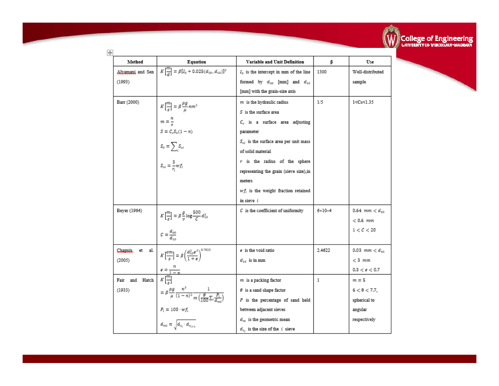

| †                     |                                                                                                                     |                                                    |                   |                               |
|-----------------------|---------------------------------------------------------------------------------------------------------------------|----------------------------------------------------|-------------------|-------------------------------|
| Method                | Equation                                                                                                            | Variable and Unit Definition                       | В                 | Use                           |
|                       | Alxamani and Sen $K\left[\frac{m}{d}\right] = \beta[I_0 + 0.025(d_{50} - d_{10})]^2$                                | $I_0$ is the intercept in mm of the line           | 1300              | Well-distributed              |
| (1993)                |                                                                                                                     | formed by $d_{50}$ [mm] and $d_{10}$               |                   | sample                        |
|                       |                                                                                                                     | [mm] with the grain-size axis                      |                   |                               |
| Barr (2000)           |                                                                                                                     | $m$ is the hydraulic radius                        | 1/5               | 1 <cs<1.35< td=""></cs<1.35<> |
|                       | $K\left[\frac{m}{s}\right]=\beta\frac{\rho g}{u}nm^2$                                                               | $S$ is the surface area                            |                   |                               |
|                       | $m=\frac{n}{s}$                                                                                                     | $C_s$ is a surface area adjusting                  |                   |                               |
|                       | $S = C_s S_0 (1 - n)$                                                                                               | parameter                                          |                   |                               |
|                       | $S_0 = \sum_i S_{oi}$                                                                                               | $S_{\alpha i}\;$ is the surface area per unit mass |                   |                               |
|                       |                                                                                                                     | of solid material                                  |                   |                               |
|                       | $S_{oi} = \frac{3}{\pi} w f_i$                                                                                      | $r$ is the radius of the sphere                    |                   |                               |
|                       |                                                                                                                     | representing the grain (sieve size),in             |                   |                               |
|                       |                                                                                                                     | meters.                                            |                   |                               |
|                       |                                                                                                                     | $wf_i$ is the weight fraction retained             |                   |                               |
|                       |                                                                                                                     | in sieve i                                         |                   |                               |
| Beyer (1964)          | $K\left[\frac{m}{s}\right] = \beta \frac{g}{v} \log \frac{500}{c} d_{10}^2$                                         | $C$ is the coefficient of uniformity               | $6 \times 10 - 4$ | $0.64$ mm $< d_{10}$          |
|                       |                                                                                                                     |                                                    |                   | $< 0.6$ mm                    |
|                       | $C=\frac{d_{60}}{d_{40}}$                                                                                           |                                                    |                   | 1 < C < 20                    |
|                       |                                                                                                                     |                                                    |                   |                               |
| Chanuis.<br>et<br>al. | $K\left[\frac{cm}{s}\right]=\beta\left(\frac{d_{10}^2e^3}{1+e}\right)^{0.7825}$                                     | e is the void ratio                                | 2.4622            | 0.03 mm $< d_{10}$            |
| (2005)                |                                                                                                                     | $d_{10}$ is in mm                                  |                   | $<$ 3 $mm$                    |
|                       | $\epsilon = \frac{n}{1-n}$                                                                                          |                                                    |                   | 0.3 < e < 0.7                 |
| Fair and Hatch        | $K[\frac{m}{2}]$                                                                                                    | $m$ is a packing factor                            | 1                 | $m=5$                         |
| (1933)                | $= \beta \frac{\rho g}{\mu} \frac{n^3}{(1-n)^2} \frac{1}{m \left(\frac{\theta}{100} \sum_i \frac{P_i}{d_i}\right)}$ | $\theta$ is a sand shape factor                    |                   | $6 < \theta < 7.7$ .          |
|                       |                                                                                                                     | P is the percentage of sand held                   |                   | spherical to                  |
|                       | $P_i=100\cdot wf_i$                                                                                                 | between adjacent sieves                            |                   | angular                       |
|                       | $d_{mi} = \sqrt{d_{s_i} \cdot d_{s_{i+1}}}$                                                                         | $d_m\,$ is the geometric mean                      |                   | respectively                  |
|                       |                                                                                                                     | $d_{x_i}$ is the size of the $i$ sieve             |                   |                               |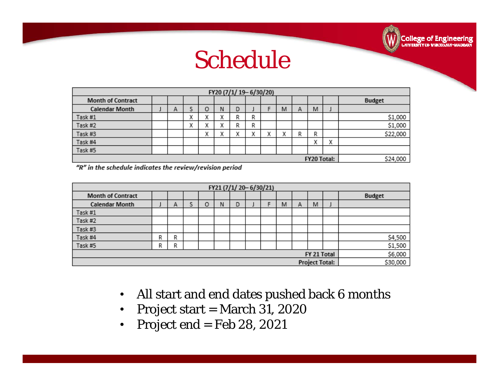### Schedule

**College of Engineering**<br>Conversion CHERON STATE AND SON

| FY20 (7/1/19-6/30/20)    |  |   |        |         |              |   |   |   |   |   |        |          |               |
|--------------------------|--|---|--------|---------|--------------|---|---|---|---|---|--------|----------|---------------|
| <b>Month of Contract</b> |  |   |        |         |              |   |   |   |   |   |        |          | <b>Budget</b> |
| <b>Calendar Month</b>    |  | А |        | о       | Ν            | D |   |   | M | Α | M      |          |               |
| Task #1                  |  |   | v<br>^ | u<br>×, | w            | R | R |   |   |   |        |          | \$1,000       |
| Task #2                  |  |   | v<br>л | w<br>A  | $\mathbf{u}$ | R | R |   |   |   |        |          | \$1,000       |
| Task #3                  |  |   |        | v<br>л  | w<br>∼       | х | х | х | х | R | R      |          | \$22,000      |
| Task #4                  |  |   |        |         |              |   |   |   |   |   | v<br>л | х        |               |
| Task #5                  |  |   |        |         |              |   |   |   |   |   |        |          |               |
| <b>FY20 Total:</b>       |  |   |        |         |              |   |   |   |   |   |        | \$24,000 |               |

"R" in the schedule indicates the review/revision period

| FY21 (7/1/20-6/30/21)    |   |   |   |   |   |   |  |  |   |   |   |          |               |
|--------------------------|---|---|---|---|---|---|--|--|---|---|---|----------|---------------|
| <b>Month of Contract</b> |   |   |   |   |   |   |  |  |   |   |   |          | <b>Budget</b> |
| <b>Calendar Month</b>    |   | А | S | O | Ν | D |  |  | M | А | M |          |               |
| Task #1                  |   |   |   |   |   |   |  |  |   |   |   |          |               |
| Task #2                  |   |   |   |   |   |   |  |  |   |   |   |          |               |
| Task #3                  |   |   |   |   |   |   |  |  |   |   |   |          |               |
| Task #4                  | R | R |   |   |   |   |  |  |   |   |   |          | \$4,500       |
| Task #5                  | R | R |   |   |   |   |  |  |   |   |   |          | \$1,500       |
| FY 21 Total              |   |   |   |   |   |   |  |  |   |   |   | \$6,000  |               |
| <b>Project Total:</b>    |   |   |   |   |   |   |  |  |   |   |   | \$30,000 |               |

- $\bullet$ All start and end dates pushed back 6 months
- $\bullet$ Project start = March 31, 2020
- $\bullet$ Project end = Feb 28, 2021